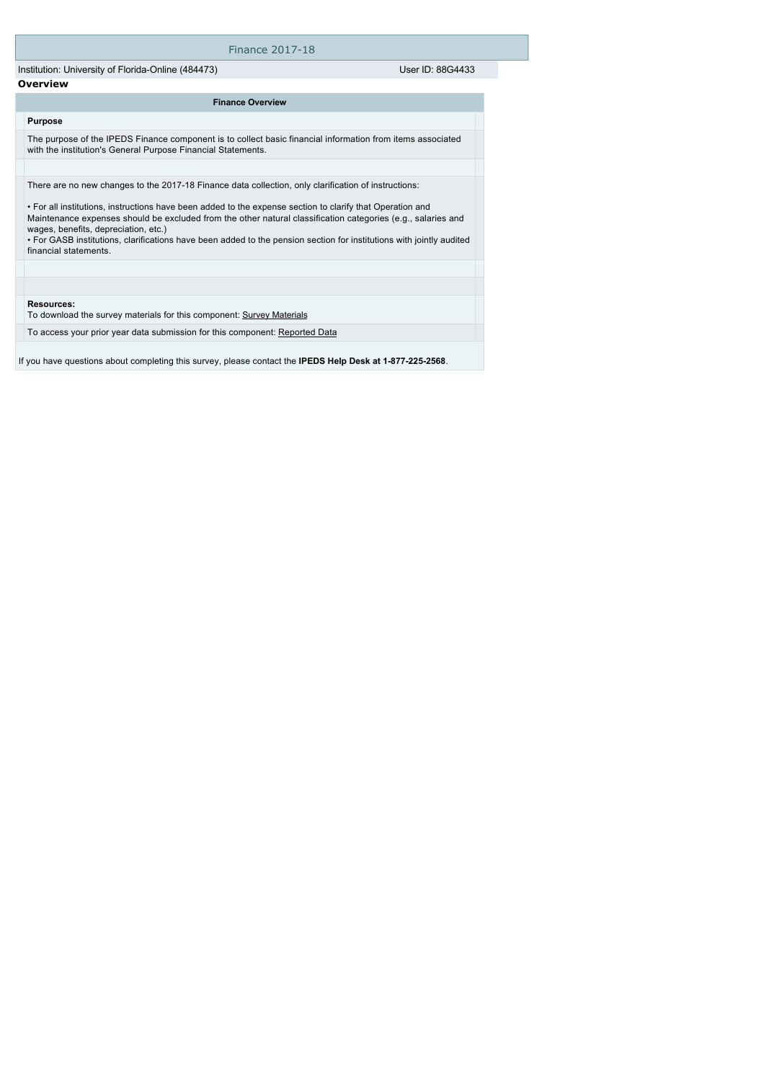## Finance 2017-18

Institution: University of Florida-Online (484473) User ID: 88G4433 **Overview**

## **Finance Overview**

The purpose of the IPEDS Finance component is to collect basic financial information from items associated with the institution's General Purpose Financial Statements.

There are no new changes to the 2017-18 Finance data collection, only clarification of instructions:

• For all institutions, instructions have been added to the expense section to clarify that Operation and Maintenance expenses should be excluded from the other natural classification categories (e.g., salaries and wages, benefits, depreciation, etc.)

• For GASB institutions, clarifications have been added to the pension section for institutions with jointly audited financial statements.

### **Resources:**

**Purpose**

To download the survey materials for this component: [Survey Materials](https://surveys.nces.ed.gov/ipeds/VisIndex.aspx)

To access your prior year data submission for this component: [Reported Data](e:/Inetpub/wwwroot/IPEDS2K17_18/PriorYearDataRedirect.aspx?survey_id=5)

If you have questions about completing this survey, please contact the **IPEDS Help Desk at 1-877-225-2568**.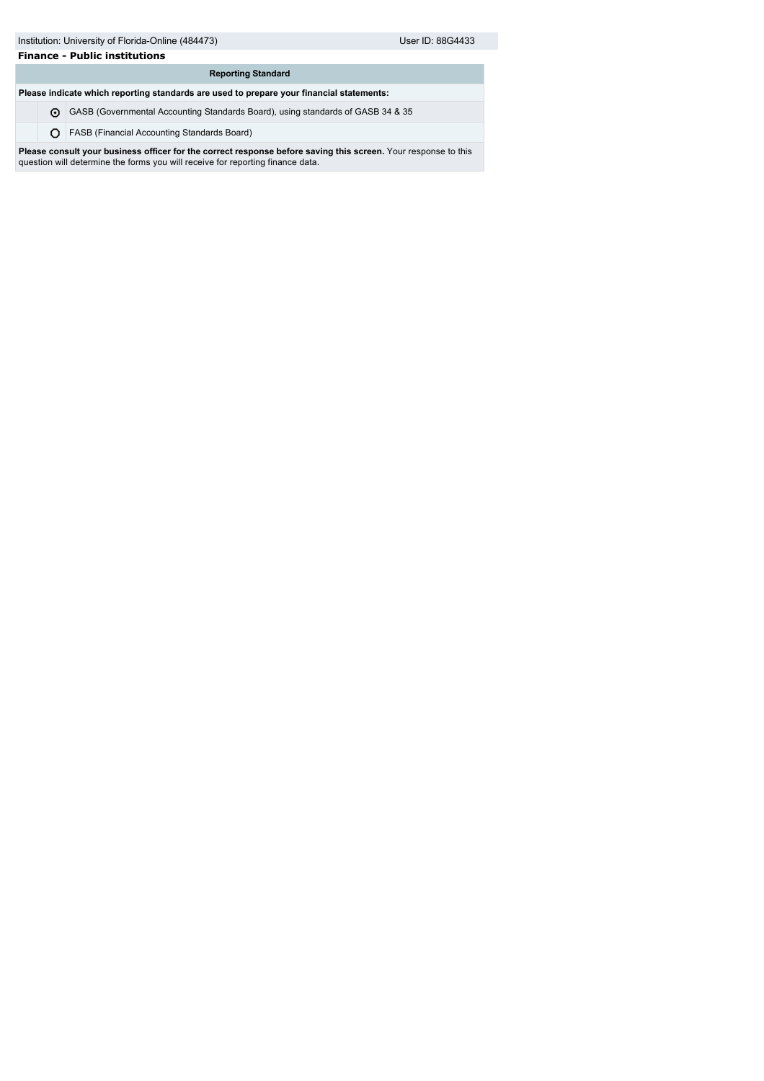# **Finance - Public institutions**

| <b>Reporting Standard</b>                                                                |                                                                                 |  |  |  |
|------------------------------------------------------------------------------------------|---------------------------------------------------------------------------------|--|--|--|
| Please indicate which reporting standards are used to prepare your financial statements: |                                                                                 |  |  |  |
| ⋒                                                                                        | GASB (Governmental Accounting Standards Board), using standards of GASB 34 & 35 |  |  |  |
|                                                                                          |                                                                                 |  |  |  |

FASB (Financial Accounting Standards Board)

**Please consult your business officer for the correct response before saving this screen.** Your response to this question will determine the forms you will receive for reporting finance data.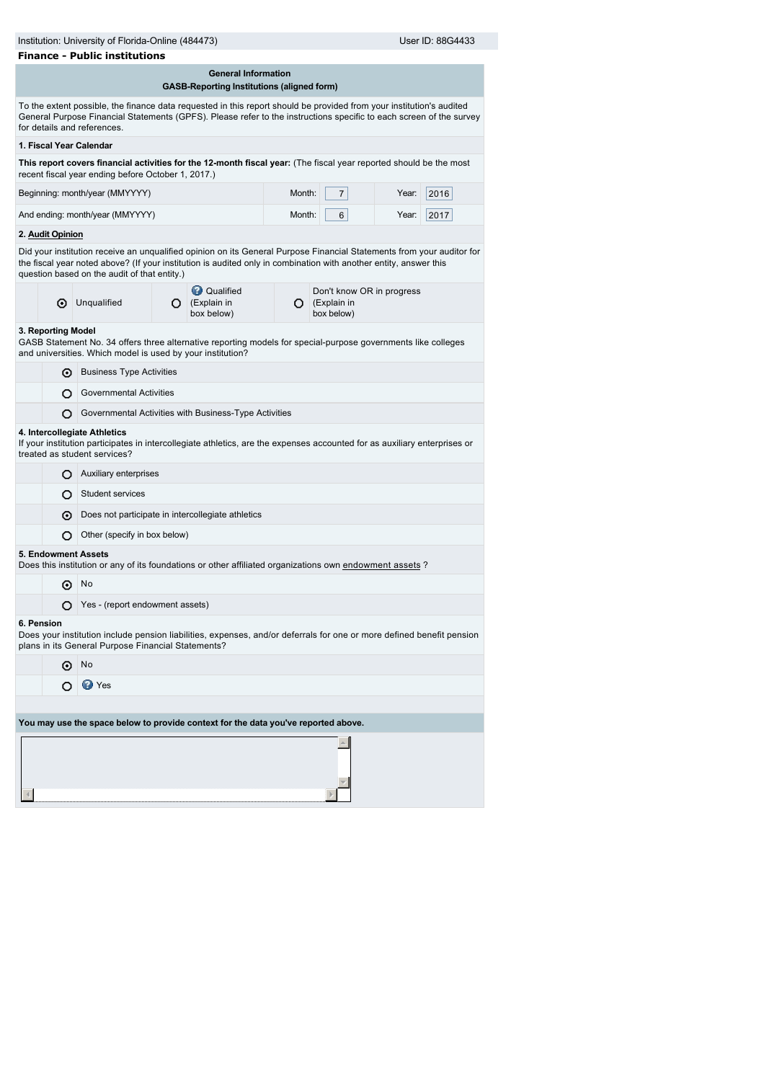|                                                                                                                                                                                           | Institution: University of Florida-Online (484473)<br>User ID: 88G4433<br><b>Finance - Public institutions</b> |                                                                                                                                                                                                                                                                                            |   |                                                                                 |        |                                                                   |       |      |
|-------------------------------------------------------------------------------------------------------------------------------------------------------------------------------------------|----------------------------------------------------------------------------------------------------------------|--------------------------------------------------------------------------------------------------------------------------------------------------------------------------------------------------------------------------------------------------------------------------------------------|---|---------------------------------------------------------------------------------|--------|-------------------------------------------------------------------|-------|------|
|                                                                                                                                                                                           |                                                                                                                |                                                                                                                                                                                                                                                                                            |   | <b>General Information</b><br><b>GASB-Reporting Institutions (aligned form)</b> |        |                                                                   |       |      |
|                                                                                                                                                                                           |                                                                                                                | To the extent possible, the finance data requested in this report should be provided from your institution's audited<br>General Purpose Financial Statements (GPFS). Please refer to the instructions specific to each screen of the survey<br>for details and references.                 |   |                                                                                 |        |                                                                   |       |      |
|                                                                                                                                                                                           |                                                                                                                | 1. Fiscal Year Calendar                                                                                                                                                                                                                                                                    |   |                                                                                 |        |                                                                   |       |      |
|                                                                                                                                                                                           |                                                                                                                | This report covers financial activities for the 12-month fiscal year: (The fiscal year reported should be the most<br>recent fiscal year ending before October 1, 2017.)                                                                                                                   |   |                                                                                 |        |                                                                   |       |      |
|                                                                                                                                                                                           |                                                                                                                | Beginning: month/year (MMYYYY)                                                                                                                                                                                                                                                             |   |                                                                                 | Month: | $\overline{7}$                                                    | Year: | 2016 |
|                                                                                                                                                                                           |                                                                                                                | And ending: month/year (MMYYYY)                                                                                                                                                                                                                                                            |   |                                                                                 | Month: | 6                                                                 | Year: | 2017 |
|                                                                                                                                                                                           | 2. Audit Opinion                                                                                               |                                                                                                                                                                                                                                                                                            |   |                                                                                 |        |                                                                   |       |      |
|                                                                                                                                                                                           |                                                                                                                | Did your institution receive an unqualified opinion on its General Purpose Financial Statements from your auditor for<br>the fiscal year noted above? (If your institution is audited only in combination with another entity, answer this<br>question based on the audit of that entity.) |   |                                                                                 |        |                                                                   |       |      |
|                                                                                                                                                                                           | ⊙                                                                                                              | Unqualified                                                                                                                                                                                                                                                                                | О | <b>Qualified</b><br>(Explain in<br>box below)                                   |        | Don't know OR in progress<br>$\bigcirc$ (Explain in<br>box below) |       |      |
|                                                                                                                                                                                           | 3. Reporting Model                                                                                             | GASB Statement No. 34 offers three alternative reporting models for special-purpose governments like colleges<br>and universities. Which model is used by your institution?                                                                                                                |   |                                                                                 |        |                                                                   |       |      |
|                                                                                                                                                                                           | ⊙                                                                                                              | <b>Business Type Activities</b>                                                                                                                                                                                                                                                            |   |                                                                                 |        |                                                                   |       |      |
|                                                                                                                                                                                           | О                                                                                                              | <b>Governmental Activities</b>                                                                                                                                                                                                                                                             |   |                                                                                 |        |                                                                   |       |      |
|                                                                                                                                                                                           | Governmental Activities with Business-Type Activities<br>О                                                     |                                                                                                                                                                                                                                                                                            |   |                                                                                 |        |                                                                   |       |      |
|                                                                                                                                                                                           |                                                                                                                | 4. Intercollegiate Athletics<br>If your institution participates in intercollegiate athletics, are the expenses accounted for as auxiliary enterprises or<br>treated as student services?                                                                                                  |   |                                                                                 |        |                                                                   |       |      |
|                                                                                                                                                                                           | Auxiliary enterprises<br>О                                                                                     |                                                                                                                                                                                                                                                                                            |   |                                                                                 |        |                                                                   |       |      |
|                                                                                                                                                                                           | <b>Student services</b><br>O                                                                                   |                                                                                                                                                                                                                                                                                            |   |                                                                                 |        |                                                                   |       |      |
|                                                                                                                                                                                           | Does not participate in intercollegiate athletics<br>⊙                                                         |                                                                                                                                                                                                                                                                                            |   |                                                                                 |        |                                                                   |       |      |
|                                                                                                                                                                                           | Other (specify in box below)<br>Ω                                                                              |                                                                                                                                                                                                                                                                                            |   |                                                                                 |        |                                                                   |       |      |
|                                                                                                                                                                                           |                                                                                                                | 5. Endowment Assets<br>Does this institution or any of its foundations or other affiliated organizations own endowment assets ?                                                                                                                                                            |   |                                                                                 |        |                                                                   |       |      |
|                                                                                                                                                                                           | ⊙                                                                                                              | No                                                                                                                                                                                                                                                                                         |   |                                                                                 |        |                                                                   |       |      |
|                                                                                                                                                                                           | Yes - (report endowment assets)<br>O                                                                           |                                                                                                                                                                                                                                                                                            |   |                                                                                 |        |                                                                   |       |      |
| 6. Pension<br>Does your institution include pension liabilities, expenses, and/or deferrals for one or more defined benefit pension<br>plans in its General Purpose Financial Statements? |                                                                                                                |                                                                                                                                                                                                                                                                                            |   |                                                                                 |        |                                                                   |       |      |
|                                                                                                                                                                                           | No<br>⊙                                                                                                        |                                                                                                                                                                                                                                                                                            |   |                                                                                 |        |                                                                   |       |      |
|                                                                                                                                                                                           | <b>D</b> Yes                                                                                                   |                                                                                                                                                                                                                                                                                            |   |                                                                                 |        |                                                                   |       |      |
|                                                                                                                                                                                           |                                                                                                                |                                                                                                                                                                                                                                                                                            |   |                                                                                 |        |                                                                   |       |      |
|                                                                                                                                                                                           |                                                                                                                | You may use the space below to provide context for the data you've reported above.                                                                                                                                                                                                         |   |                                                                                 |        |                                                                   |       |      |
|                                                                                                                                                                                           |                                                                                                                |                                                                                                                                                                                                                                                                                            |   |                                                                                 |        |                                                                   |       |      |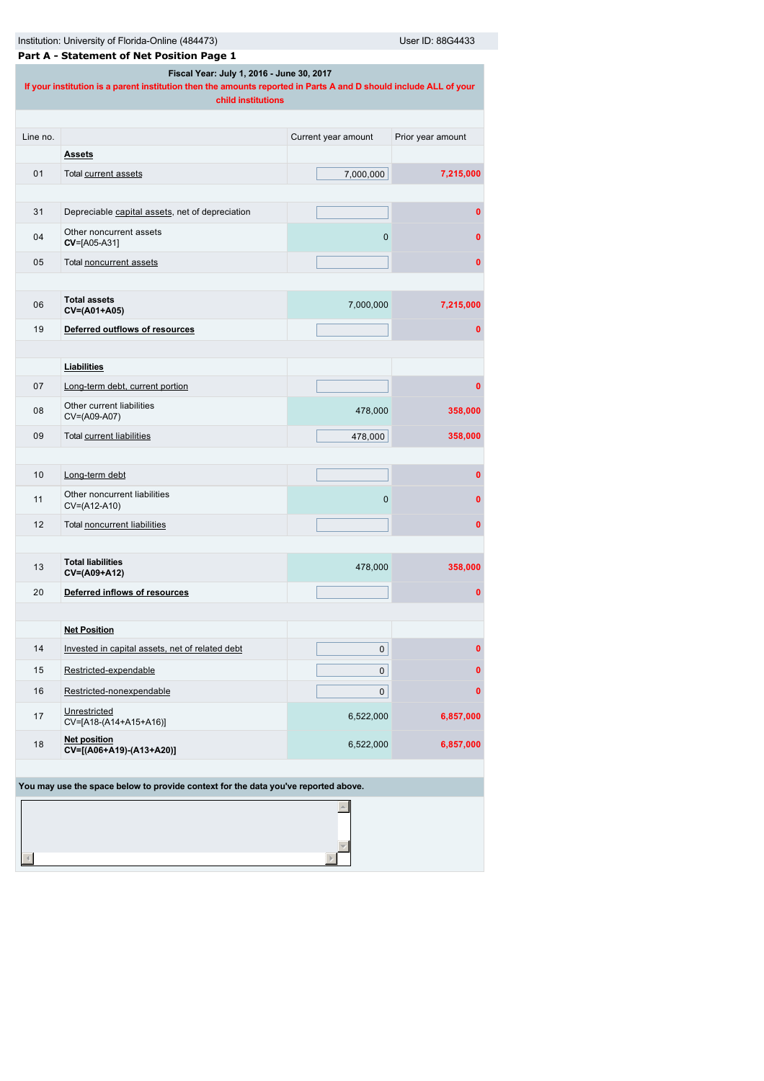|                                                                                                                                                                                      | Institution: University of Florida-Online (484473)<br>User ID: 88G4433             |                     |                   |  |  |  |
|--------------------------------------------------------------------------------------------------------------------------------------------------------------------------------------|------------------------------------------------------------------------------------|---------------------|-------------------|--|--|--|
|                                                                                                                                                                                      | Part A - Statement of Net Position Page 1                                          |                     |                   |  |  |  |
| Fiscal Year: July 1, 2016 - June 30, 2017<br>If your institution is a parent institution then the amounts reported in Parts A and D should include ALL of your<br>child institutions |                                                                                    |                     |                   |  |  |  |
|                                                                                                                                                                                      |                                                                                    |                     |                   |  |  |  |
| Line no.                                                                                                                                                                             |                                                                                    | Current year amount | Prior year amount |  |  |  |
|                                                                                                                                                                                      | <b>Assets</b>                                                                      |                     |                   |  |  |  |
| 01                                                                                                                                                                                   | Total current assets                                                               | 7,000,000           | 7,215,000         |  |  |  |
|                                                                                                                                                                                      |                                                                                    |                     |                   |  |  |  |
| 31                                                                                                                                                                                   | Depreciable capital assets, net of depreciation                                    |                     | 0                 |  |  |  |
| 04                                                                                                                                                                                   | Other noncurrent assets<br>CV=[A05-A31]                                            | 0                   | $\mathbf 0$       |  |  |  |
| 05                                                                                                                                                                                   | Total noncurrent assets                                                            |                     | 0                 |  |  |  |
|                                                                                                                                                                                      |                                                                                    |                     |                   |  |  |  |
| 06                                                                                                                                                                                   | <b>Total assets</b><br>CV=(A01+A05)                                                | 7,000,000           | 7,215,000         |  |  |  |
| 19                                                                                                                                                                                   | Deferred outflows of resources                                                     |                     | 0                 |  |  |  |
|                                                                                                                                                                                      |                                                                                    |                     |                   |  |  |  |
|                                                                                                                                                                                      | Liabilities                                                                        |                     |                   |  |  |  |
| 07                                                                                                                                                                                   | Long-term debt, current portion                                                    |                     | 0                 |  |  |  |
| 08                                                                                                                                                                                   | Other current liabilities<br>CV=(A09-A07)                                          | 478,000             | 358,000           |  |  |  |
| 09                                                                                                                                                                                   |                                                                                    |                     |                   |  |  |  |
|                                                                                                                                                                                      | Total current liabilities                                                          | 478,000             | 358,000           |  |  |  |
|                                                                                                                                                                                      |                                                                                    |                     |                   |  |  |  |
| 10                                                                                                                                                                                   | Long-term debt                                                                     |                     | 0                 |  |  |  |
| 11                                                                                                                                                                                   | Other noncurrent liabilities<br>CV=(A12-A10)                                       | 0                   | 0                 |  |  |  |
| 12                                                                                                                                                                                   | Total noncurrent liabilities                                                       |                     | 0                 |  |  |  |
|                                                                                                                                                                                      |                                                                                    |                     |                   |  |  |  |
| 13                                                                                                                                                                                   | <b>Total liabilities</b><br>CV=(A09+A12)                                           | 478,000             | 358,000           |  |  |  |
| 20                                                                                                                                                                                   | Deferred inflows of resources                                                      |                     | 0                 |  |  |  |
|                                                                                                                                                                                      |                                                                                    |                     |                   |  |  |  |
|                                                                                                                                                                                      | <b>Net Position</b>                                                                |                     |                   |  |  |  |
| 14                                                                                                                                                                                   | Invested in capital assets, net of related debt                                    | 0                   | $\mathbf{0}$      |  |  |  |
| 15                                                                                                                                                                                   | Restricted-expendable                                                              | 0                   | $\mathbf 0$       |  |  |  |
| 16                                                                                                                                                                                   | Restricted-nonexpendable                                                           | 0                   | $\mathbf 0$       |  |  |  |
| 17                                                                                                                                                                                   | Unrestricted<br>CV=[A18-(A14+A15+A16)]                                             | 6,522,000           | 6,857,000         |  |  |  |
| 18                                                                                                                                                                                   | <b>Net position</b><br>CV=[(A06+A19)-(A13+A20)]                                    | 6,522,000           | 6,857,000         |  |  |  |
|                                                                                                                                                                                      |                                                                                    |                     |                   |  |  |  |
|                                                                                                                                                                                      | You may use the space below to provide context for the data you've reported above. |                     |                   |  |  |  |
|                                                                                                                                                                                      |                                                                                    |                     |                   |  |  |  |
|                                                                                                                                                                                      |                                                                                    |                     |                   |  |  |  |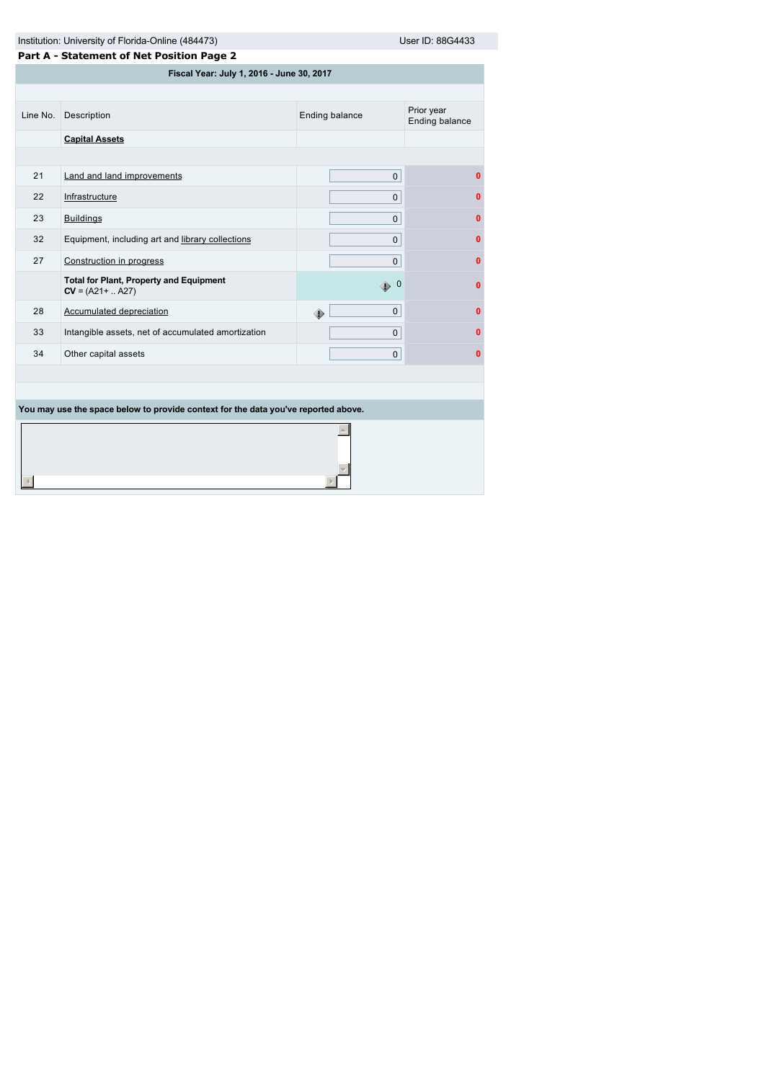|                                                                                    | Institution: University of Florida-Online (484473)<br>User ID: 88G4433 |                |                              |  |  |  |
|------------------------------------------------------------------------------------|------------------------------------------------------------------------|----------------|------------------------------|--|--|--|
|                                                                                    | Part A - Statement of Net Position Page 2                              |                |                              |  |  |  |
|                                                                                    | Fiscal Year: July 1, 2016 - June 30, 2017                              |                |                              |  |  |  |
|                                                                                    |                                                                        |                |                              |  |  |  |
| Line No.                                                                           | Description                                                            | Ending balance | Prior year<br>Ending balance |  |  |  |
|                                                                                    | <b>Capital Assets</b>                                                  |                |                              |  |  |  |
|                                                                                    |                                                                        |                |                              |  |  |  |
| 21                                                                                 | Land and land improvements                                             | $\mathbf{0}$   | $\mathbf{0}$                 |  |  |  |
| 22                                                                                 | Infrastructure                                                         | 0              | 0                            |  |  |  |
| 23                                                                                 | <b>Buildings</b>                                                       | $\mathbf{0}$   | $\bf{0}$                     |  |  |  |
| 32                                                                                 | Equipment, including art and library collections                       | $\mathbf{0}$   | $\mathbf{0}$                 |  |  |  |
| 27                                                                                 | Construction in progress                                               | 0              | $\bf{0}$                     |  |  |  |
|                                                                                    | <b>Total for Plant, Property and Equipment</b><br>$CV = (A21 +  A27)$  | $\bigoplus$ 0  | $\bf{0}$                     |  |  |  |
| 28                                                                                 | Accumulated depreciation                                               | 0<br>۰         | $\mathbf{0}$                 |  |  |  |
| 33                                                                                 | Intangible assets, net of accumulated amortization                     | $\mathbf{0}$   | 0                            |  |  |  |
| 34                                                                                 | Other capital assets                                                   | $\mathbf{0}$   | $\mathbf{0}$                 |  |  |  |
|                                                                                    |                                                                        |                |                              |  |  |  |
|                                                                                    |                                                                        |                |                              |  |  |  |
| You may use the space below to provide context for the data you've reported above. |                                                                        |                |                              |  |  |  |
|                                                                                    |                                                                        |                |                              |  |  |  |
|                                                                                    |                                                                        |                |                              |  |  |  |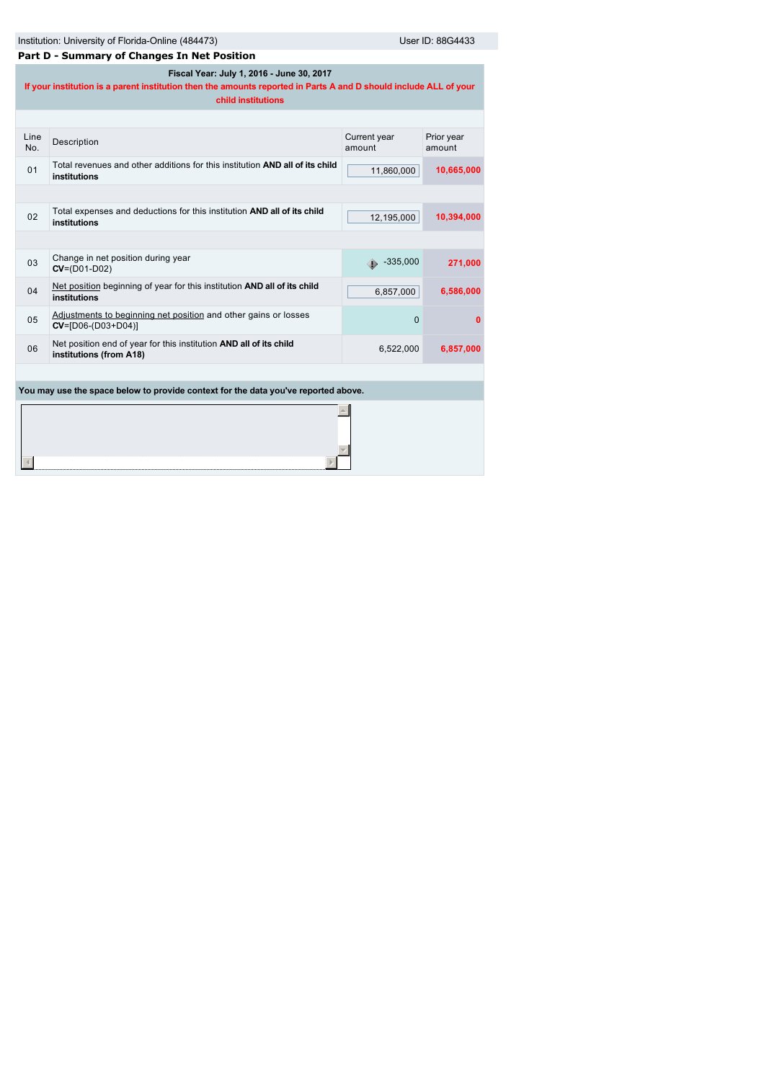| Institution: University of Florida-Online (484473) | User ID: 88G4433 |
|----------------------------------------------------|------------------|
|                                                    |                  |

| Part D - Summary of Changes In Net Position                                        |                                                                                                                                                                                      |                        |                      |  |  |
|------------------------------------------------------------------------------------|--------------------------------------------------------------------------------------------------------------------------------------------------------------------------------------|------------------------|----------------------|--|--|
|                                                                                    | Fiscal Year: July 1, 2016 - June 30, 2017<br>If your institution is a parent institution then the amounts reported in Parts A and D should include ALL of your<br>child institutions |                        |                      |  |  |
|                                                                                    |                                                                                                                                                                                      |                        |                      |  |  |
| Line<br>No.                                                                        | Description                                                                                                                                                                          | Current year<br>amount | Prior year<br>amount |  |  |
| 01                                                                                 | Total revenues and other additions for this institution AND all of its child<br>institutions                                                                                         | 11,860,000             | 10,665,000           |  |  |
|                                                                                    |                                                                                                                                                                                      |                        |                      |  |  |
| 02                                                                                 | Total expenses and deductions for this institution AND all of its child<br>institutions                                                                                              | 12,195,000             | 10,394,000           |  |  |
|                                                                                    |                                                                                                                                                                                      |                        |                      |  |  |
| 03                                                                                 | Change in net position during year<br>$CV = (D01 - D02)$                                                                                                                             | $\bullet$ -335,000     | 271,000              |  |  |
| 04                                                                                 | Net position beginning of year for this institution AND all of its child<br>institutions                                                                                             | 6,857,000              | 6,586,000            |  |  |
| 05                                                                                 | Adjustments to beginning net position and other gains or losses<br>$CV = [D06-(D03+D04)]$                                                                                            | 0                      | 0                    |  |  |
| 06                                                                                 | Net position end of year for this institution AND all of its child<br>institutions (from A18)                                                                                        | 6,522,000              | 6,857,000            |  |  |
|                                                                                    |                                                                                                                                                                                      |                        |                      |  |  |
| You may use the space below to provide context for the data you've reported above. |                                                                                                                                                                                      |                        |                      |  |  |
|                                                                                    |                                                                                                                                                                                      |                        |                      |  |  |
|                                                                                    |                                                                                                                                                                                      |                        |                      |  |  |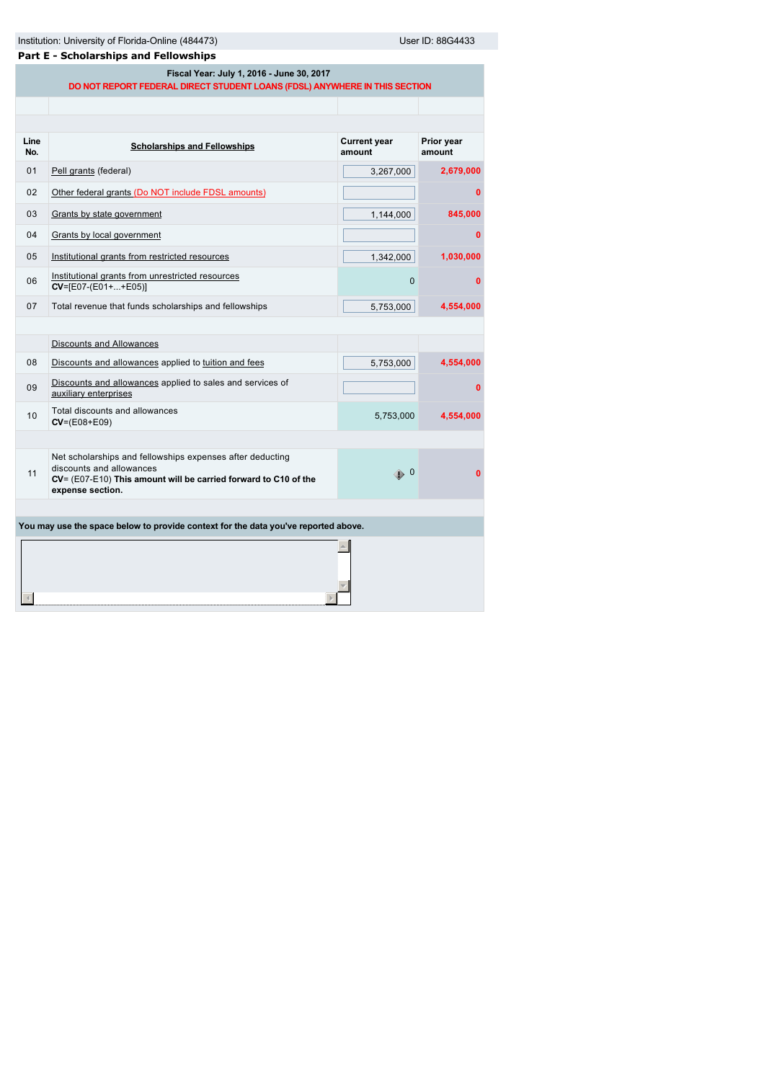| Institution: University of Florida-Online (484473) |  |  |
|----------------------------------------------------|--|--|
|                                                    |  |  |

Institution: University of Florida-Online (4854433) User ID: 88G4433

| <b>Part E - Scholarships and Fellowships</b> |  |  |  |
|----------------------------------------------|--|--|--|
| Fiscal Year: July 1, 2016 - June 30, 2017    |  |  |  |

**DO NOT REPORT FEDERAL DIRECT STUDENT LOANS (FDSL) ANYWHERE IN THIS SECTION**

| Line<br>No. | <b>Scholarships and Fellowships</b>                                                                                                                                          | <b>Current year</b><br>amount | Prior year<br>amount |  |  |
|-------------|------------------------------------------------------------------------------------------------------------------------------------------------------------------------------|-------------------------------|----------------------|--|--|
| 01          | Pell grants (federal)                                                                                                                                                        | 3,267,000                     | 2,679,000            |  |  |
| 02          | Other federal grants (Do NOT include FDSL amounts)                                                                                                                           |                               | 0                    |  |  |
| 03          | Grants by state government                                                                                                                                                   | 1,144,000                     | 845,000              |  |  |
| 04          | Grants by local government                                                                                                                                                   |                               | $\Omega$             |  |  |
| 05          | Institutional grants from restricted resources                                                                                                                               | 1,342,000                     | 1,030,000            |  |  |
| 06          | Institutional grants from unrestricted resources<br>$CV = [E07 - (E01 +  + E05)]$                                                                                            | 0                             | $\Omega$             |  |  |
| 07          | Total revenue that funds scholarships and fellowships                                                                                                                        | 5,753,000                     | 4,554,000            |  |  |
|             |                                                                                                                                                                              |                               |                      |  |  |
|             | Discounts and Allowances                                                                                                                                                     |                               |                      |  |  |
| 08          | Discounts and allowances applied to tuition and fees                                                                                                                         | 5,753,000                     | 4,554,000            |  |  |
| 09          | Discounts and allowances applied to sales and services of<br>auxiliary enterprises                                                                                           |                               | 0                    |  |  |
| 10          | Total discounts and allowances<br>$CV = (E08 + E09)$                                                                                                                         | 5,753,000                     | 4,554,000            |  |  |
|             |                                                                                                                                                                              |                               |                      |  |  |
| 11          | Net scholarships and fellowships expenses after deducting<br>discounts and allowances<br>CV= (E07-E10) This amount will be carried forward to C10 of the<br>expense section. | $\bigoplus$ 0                 | $\Omega$             |  |  |
|             |                                                                                                                                                                              |                               |                      |  |  |
|             | You may use the space below to provide context for the data you've reported above.                                                                                           |                               |                      |  |  |
|             |                                                                                                                                                                              |                               |                      |  |  |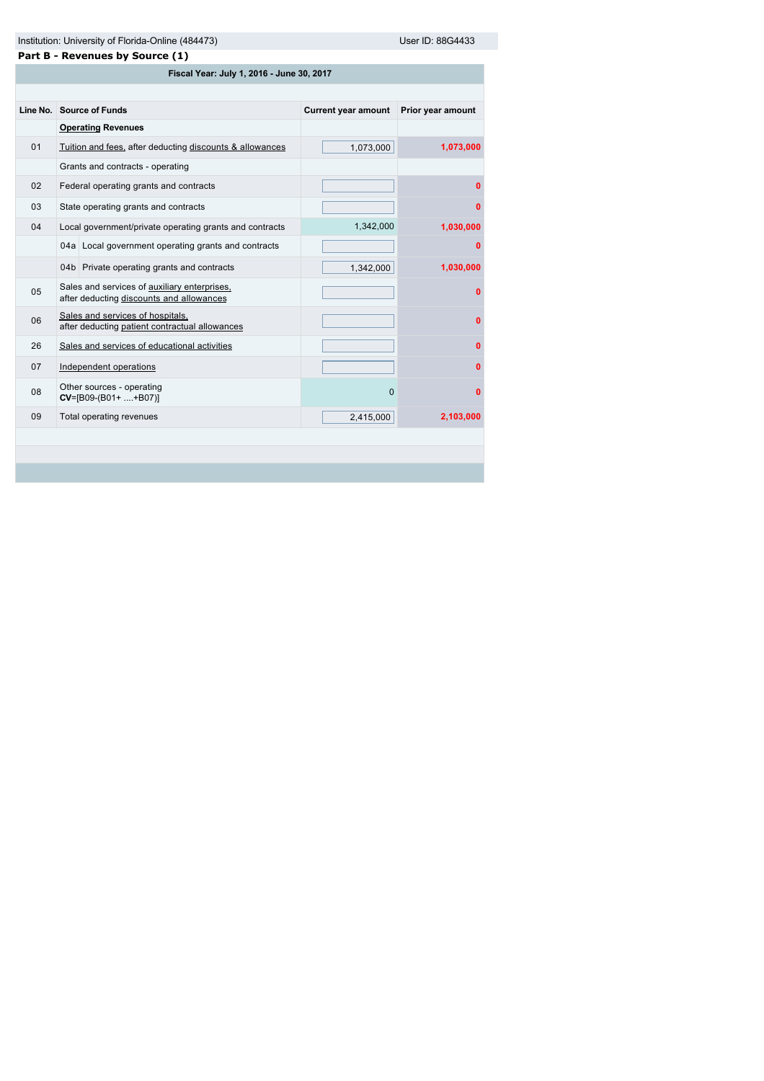| าstitution: Universitv of Florida-Online (484473) |  |  |
|---------------------------------------------------|--|--|
|                                                   |  |  |

User ID: 88G4433

| Part B - Revenues by Source (1) |
|---------------------------------|
|---------------------------------|

| Fiscal Year: July 1, 2016 - June 30, 2017 |                                                                                          |                            |                   |  |
|-------------------------------------------|------------------------------------------------------------------------------------------|----------------------------|-------------------|--|
|                                           |                                                                                          |                            |                   |  |
| Line No.                                  | <b>Source of Funds</b>                                                                   | <b>Current year amount</b> | Prior year amount |  |
|                                           | <b>Operating Revenues</b>                                                                |                            |                   |  |
| 01                                        | Tuition and fees, after deducting discounts & allowances                                 | 1,073,000                  | 1,073,000         |  |
|                                           | Grants and contracts - operating                                                         |                            |                   |  |
| 02                                        | Federal operating grants and contracts                                                   |                            | 0                 |  |
| 03                                        | State operating grants and contracts                                                     |                            | 0                 |  |
| 04                                        | Local government/private operating grants and contracts                                  | 1,342,000                  | 1,030,000         |  |
|                                           | 04a Local government operating grants and contracts                                      |                            | 0                 |  |
|                                           | 04b Private operating grants and contracts                                               | 1,342,000                  | 1,030,000         |  |
| 05                                        | Sales and services of auxiliary enterprises,<br>after deducting discounts and allowances |                            | 0                 |  |
| 06                                        | Sales and services of hospitals,<br>after deducting patient contractual allowances       |                            | 0                 |  |
| 26                                        | Sales and services of educational activities                                             |                            | $\Omega$          |  |
| 07                                        | Independent operations                                                                   |                            | 0                 |  |
| 08                                        | Other sources - operating<br>$CV=[B09-(B01++B07)]$                                       | $\Omega$                   | 0                 |  |
| 09                                        | Total operating revenues                                                                 | 2,415,000                  | 2,103,000         |  |
|                                           |                                                                                          |                            |                   |  |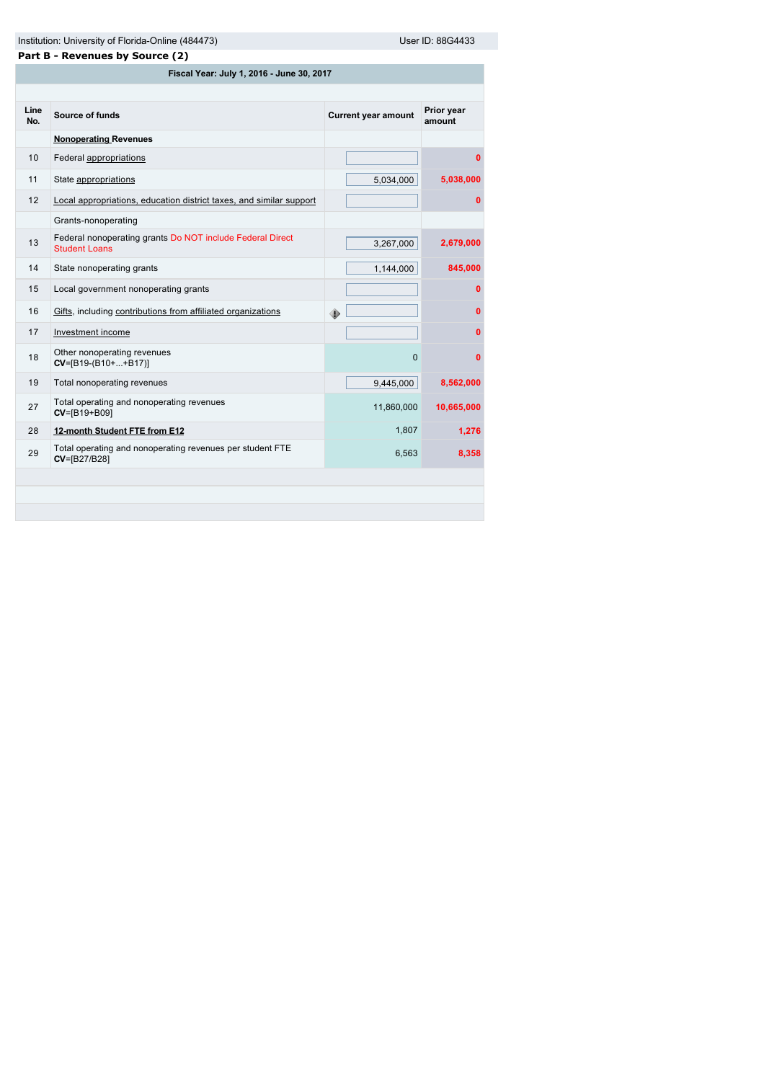Institution: University of Florida-Online (484473) User ID: 88G4433

| Part B - Revenues by Source (2) |                                                                                   |                            |                      |  |  |  |  |  |
|---------------------------------|-----------------------------------------------------------------------------------|----------------------------|----------------------|--|--|--|--|--|
|                                 | Fiscal Year: July 1, 2016 - June 30, 2017                                         |                            |                      |  |  |  |  |  |
|                                 |                                                                                   |                            |                      |  |  |  |  |  |
| Line<br>No.                     | Source of funds                                                                   | <b>Current year amount</b> | Prior year<br>amount |  |  |  |  |  |
|                                 | <b>Nonoperating Revenues</b>                                                      |                            |                      |  |  |  |  |  |
| 10                              | Federal appropriations                                                            |                            | $\bf{0}$             |  |  |  |  |  |
| 11                              | State appropriations                                                              | 5,034,000                  | 5,038,000            |  |  |  |  |  |
| 12                              | Local appropriations, education district taxes, and similar support               |                            | 0                    |  |  |  |  |  |
|                                 | Grants-nonoperating                                                               |                            |                      |  |  |  |  |  |
| 13                              | Federal nonoperating grants Do NOT include Federal Direct<br><b>Student Loans</b> | 3,267,000                  | 2,679,000            |  |  |  |  |  |
| 14                              | State nonoperating grants                                                         | 1,144,000                  | 845,000              |  |  |  |  |  |
| 15                              | Local government nonoperating grants                                              |                            | $\mathbf 0$          |  |  |  |  |  |
| 16                              | Gifts, including contributions from affiliated organizations                      | ۰                          | $\mathbf{0}$         |  |  |  |  |  |
| 17                              | Investment income                                                                 |                            | $\mathbf{0}$         |  |  |  |  |  |
| 18                              | Other nonoperating revenues<br>$CV=[B19-(B10++B17)]$                              | $\Omega$                   | $\mathbf{0}$         |  |  |  |  |  |
| 19                              | Total nonoperating revenues                                                       | 9,445,000                  | 8,562,000            |  |  |  |  |  |
| 27                              | Total operating and nonoperating revenues<br>CV=[B19+B09]                         | 11,860,000                 | 10,665,000           |  |  |  |  |  |
| 28                              | 12-month Student FTE from E12                                                     | 1,807                      | 1,276                |  |  |  |  |  |
| 29                              | Total operating and nonoperating revenues per student FTE<br>CV=[B27/B28]         | 6,563                      | 8,358                |  |  |  |  |  |
|                                 |                                                                                   |                            |                      |  |  |  |  |  |
|                                 |                                                                                   |                            |                      |  |  |  |  |  |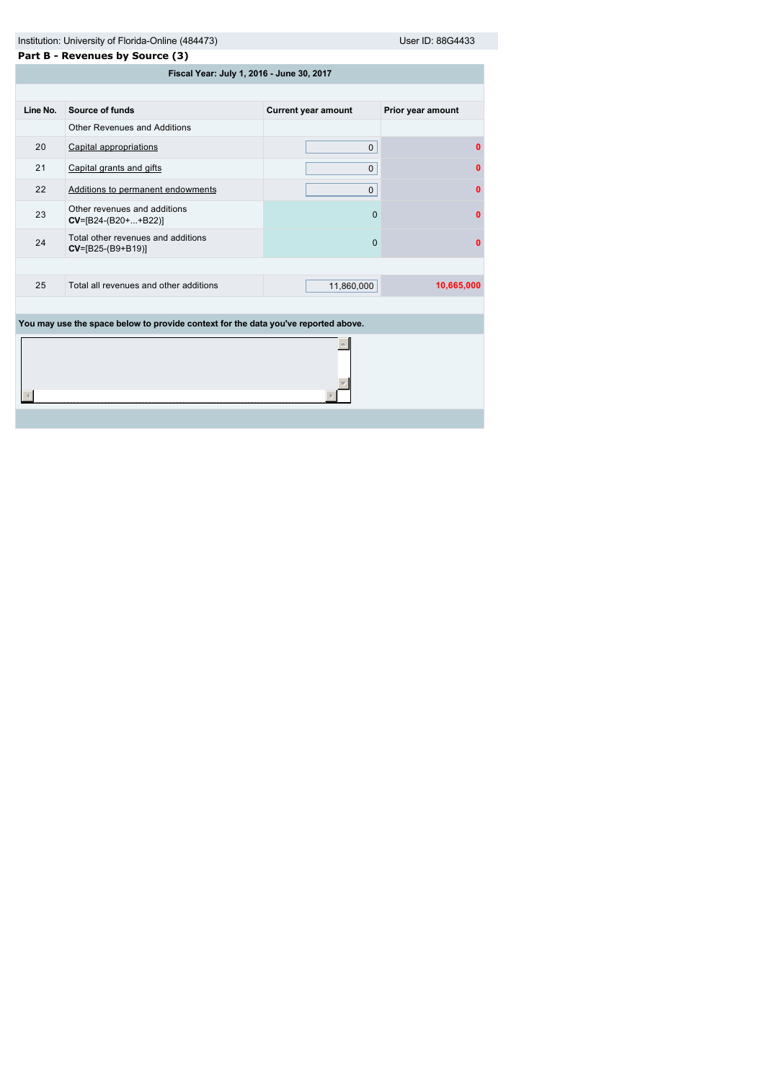|          | User ID: 88G4433<br>Institution: University of Florida-Online (484473)             |                            |                   |  |  |  |
|----------|------------------------------------------------------------------------------------|----------------------------|-------------------|--|--|--|
|          | Part B - Revenues by Source (3)                                                    |                            |                   |  |  |  |
|          | Fiscal Year: July 1, 2016 - June 30, 2017                                          |                            |                   |  |  |  |
|          |                                                                                    |                            |                   |  |  |  |
| Line No. | Source of funds                                                                    | <b>Current year amount</b> | Prior year amount |  |  |  |
|          | <b>Other Revenues and Additions</b>                                                |                            |                   |  |  |  |
| 20       | Capital appropriations                                                             | $\mathbf 0$                | 0                 |  |  |  |
| 21       | Capital grants and gifts                                                           | $\Omega$                   | 0                 |  |  |  |
| 22       | Additions to permanent endowments                                                  | $\mathbf{0}$               | $\mathbf{0}$      |  |  |  |
| 23       | Other revenues and additions<br>$CV=[B24-(B20++B22)]$                              | $\Omega$                   | 0                 |  |  |  |
| 24       | Total other revenues and additions<br>$CV=[B25-(B9+B19)]$                          | 0                          | $\bf{0}$          |  |  |  |
|          |                                                                                    |                            |                   |  |  |  |
| 25       | Total all revenues and other additions                                             | 11,860,000                 | 10,665,000        |  |  |  |
|          |                                                                                    |                            |                   |  |  |  |
|          | You may use the space below to provide context for the data you've reported above. |                            |                   |  |  |  |
|          |                                                                                    |                            |                   |  |  |  |
|          |                                                                                    |                            |                   |  |  |  |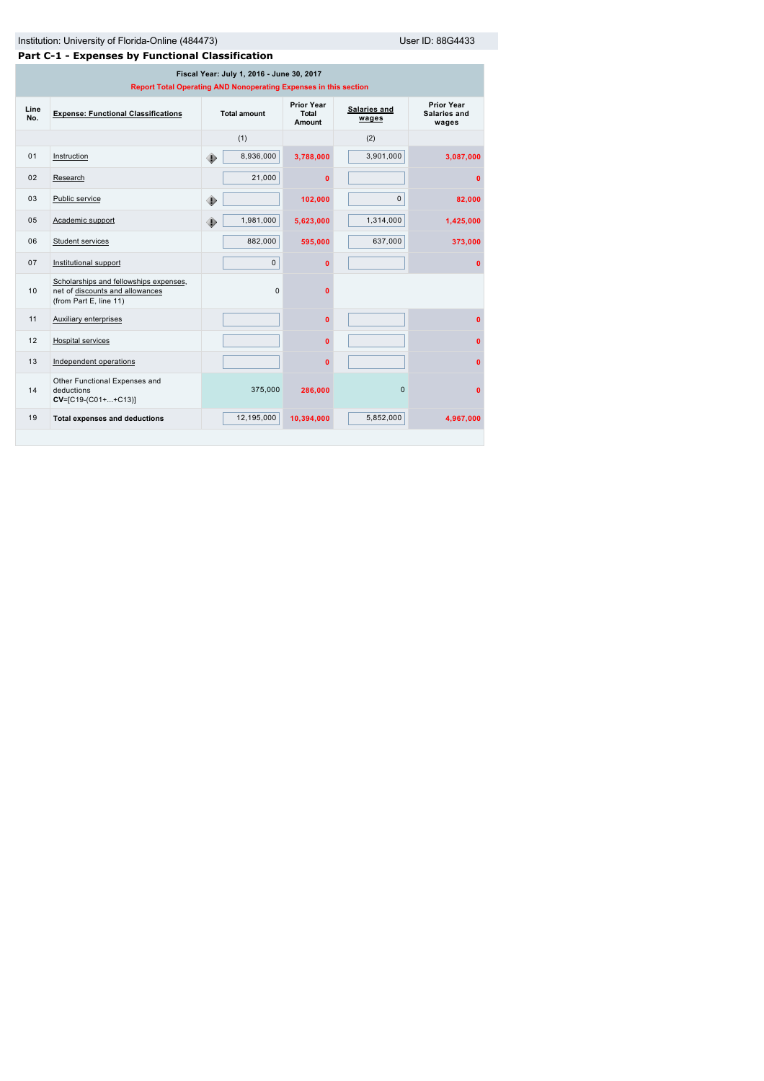# Institution: University of Florida-Online (484473) User ID: 88G4433

|             | Part C-1 - Expenses by Functional Classification                                                              |                     |                                             |                       |                                            |  |  |
|-------------|---------------------------------------------------------------------------------------------------------------|---------------------|---------------------------------------------|-----------------------|--------------------------------------------|--|--|
|             | Fiscal Year: July 1, 2016 - June 30, 2017<br>Report Total Operating AND Nonoperating Expenses in this section |                     |                                             |                       |                                            |  |  |
| Line<br>No. | <b>Expense: Functional Classifications</b>                                                                    | <b>Total amount</b> | <b>Prior Year</b><br>Total<br><b>Amount</b> | Salaries and<br>wages | <b>Prior Year</b><br>Salaries and<br>wages |  |  |
|             |                                                                                                               | (1)                 |                                             | (2)                   |                                            |  |  |
| 01          | Instruction                                                                                                   | 8,936,000<br>◈      | 3,788,000                                   | 3,901,000             | 3,087,000                                  |  |  |
| 02          | Research                                                                                                      | 21,000              | $\mathbf{0}$                                |                       | $\mathbf{0}$                               |  |  |
| 03          | Public service                                                                                                | ۰                   | 102,000                                     | $\mathbf{0}$          | 82,000                                     |  |  |
| 05          | Academic support                                                                                              | 1,981,000<br>۰      | 5,623,000                                   | 1,314,000             | 1,425,000                                  |  |  |
| 06          | Student services                                                                                              | 882,000             | 595,000                                     | 637,000               | 373,000                                    |  |  |
| 07          | Institutional support                                                                                         | $\mathbf{0}$        | $\mathbf{0}$                                |                       | $\Omega$                                   |  |  |
| 10          | Scholarships and fellowships expenses,<br>net of discounts and allowances<br>(from Part E, line 11)           | $\Omega$            | $\mathbf{0}$                                |                       |                                            |  |  |
| 11          | <b>Auxiliary enterprises</b>                                                                                  |                     | $\mathbf{0}$                                |                       | $\mathbf{0}$                               |  |  |
| 12          | Hospital services                                                                                             |                     | $\mathbf{0}$                                |                       | $\Omega$                                   |  |  |
| 13          | Independent operations                                                                                        |                     | $\mathbf{0}$                                |                       | $\mathbf{0}$                               |  |  |
| 14          | Other Functional Expenses and<br>deductions<br>CV=[C19-(C01++C13)]                                            | 375,000             | 286,000                                     | $\Omega$              | $\mathbf{0}$                               |  |  |
| 19          | <b>Total expenses and deductions</b>                                                                          | 12.195.000          | 10,394,000                                  | 5,852,000             | 4.967.000                                  |  |  |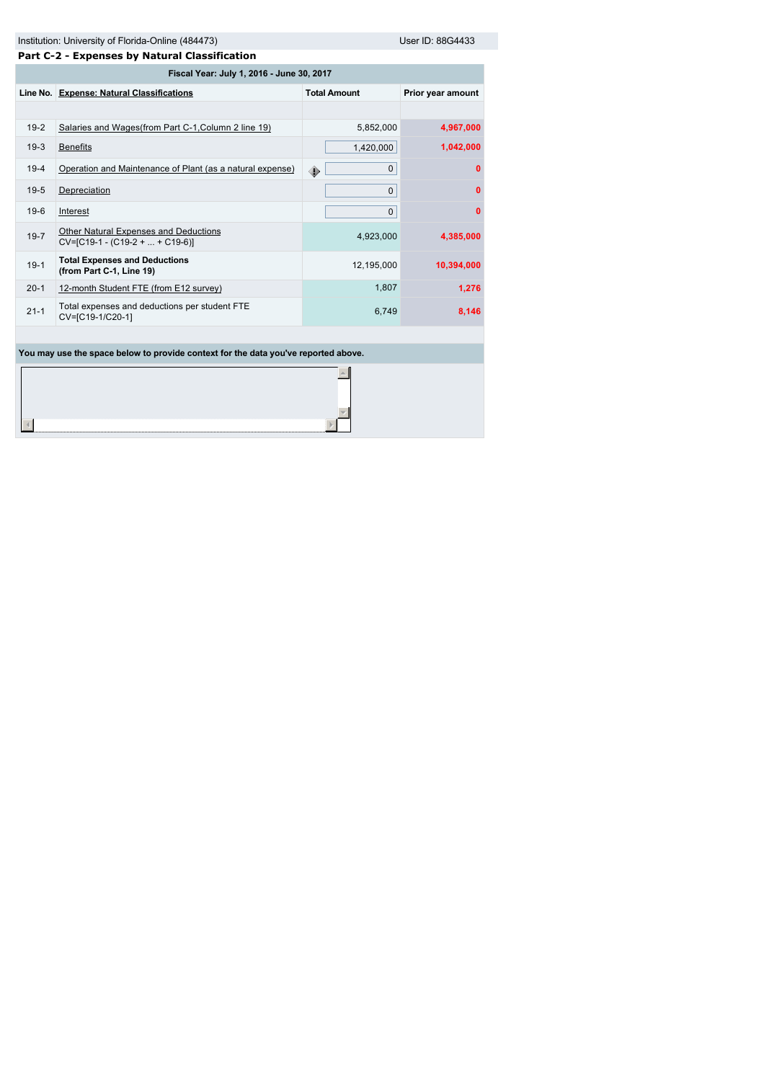|  | Institution: University of Florida-Online (484473) |
|--|----------------------------------------------------|
|--|----------------------------------------------------|

User ID: 88G4433

|          | Part C-2 - Expenses by Natural Classification                              |                     |                   |  |  |  |  |
|----------|----------------------------------------------------------------------------|---------------------|-------------------|--|--|--|--|
|          | Fiscal Year: July 1, 2016 - June 30, 2017                                  |                     |                   |  |  |  |  |
|          | Line No. Expense: Natural Classifications                                  | <b>Total Amount</b> | Prior year amount |  |  |  |  |
|          |                                                                            |                     |                   |  |  |  |  |
| $19-2$   | Salaries and Wages(from Part C-1, Column 2 line 19)                        | 5,852,000           | 4,967,000         |  |  |  |  |
| $19-3$   | <b>Benefits</b>                                                            | 1,420,000           | 1,042,000         |  |  |  |  |
| $19-4$   | Operation and Maintenance of Plant (as a natural expense)                  | $\mathbf{0}$<br>۰   | $\Omega$          |  |  |  |  |
| $19-5$   | Depreciation                                                               | 0                   | $\mathbf{0}$      |  |  |  |  |
| $19-6$   | Interest                                                                   | $\mathbf{0}$        | $\mathbf{0}$      |  |  |  |  |
| $19 - 7$ | Other Natural Expenses and Deductions<br>$CV=[C19-1 - (C19-2 +  + C19-6)]$ | 4,923,000           | 4,385,000         |  |  |  |  |
| $19-1$   | <b>Total Expenses and Deductions</b><br>(from Part C-1, Line 19)           | 12,195,000          | 10,394,000        |  |  |  |  |
| $20 - 1$ | 12-month Student FTE (from E12 survey)                                     | 1,807               | 1,276             |  |  |  |  |
| $21 - 1$ | Total expenses and deductions per student FTE<br>CV=[C19-1/C20-1]          | 6,749               | 8,146             |  |  |  |  |
|          |                                                                            |                     |                   |  |  |  |  |

**You may use the space below to provide context for the data you've reported above.**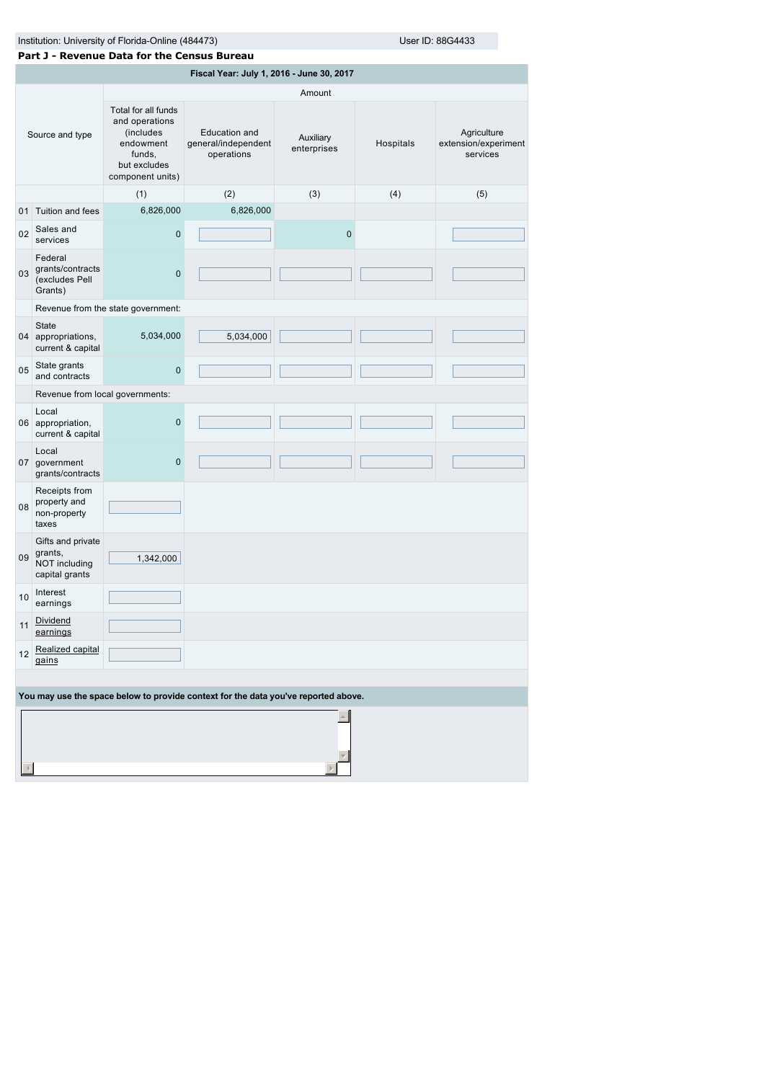Institution: University of Florida-Online (4854433) User ID: 88G4433

|                 | Part J - Revenue Data for the Census Bureau                     |                                                                                                               |                                                                                    |                          |           |                                                 |
|-----------------|-----------------------------------------------------------------|---------------------------------------------------------------------------------------------------------------|------------------------------------------------------------------------------------|--------------------------|-----------|-------------------------------------------------|
|                 |                                                                 |                                                                                                               | Fiscal Year: July 1, 2016 - June 30, 2017                                          |                          |           |                                                 |
|                 |                                                                 |                                                                                                               |                                                                                    | Amount                   |           |                                                 |
| Source and type |                                                                 | Total for all funds<br>and operations<br>(includes<br>endowment<br>funds,<br>but excludes<br>component units) | Education and<br>general/independent<br>operations                                 | Auxiliary<br>enterprises | Hospitals | Agriculture<br>extension/experiment<br>services |
|                 |                                                                 | (1)                                                                                                           | (2)                                                                                | (3)                      | (4)       | (5)                                             |
|                 | 01 Tuition and fees                                             | 6,826,000                                                                                                     | 6,826,000                                                                          |                          |           |                                                 |
| 02              | Sales and<br>services                                           | 0                                                                                                             |                                                                                    | $\pmb{0}$                |           |                                                 |
| 03              | Federal<br>grants/contracts<br>(excludes Pell<br>Grants)        | $\overline{0}$                                                                                                |                                                                                    |                          |           |                                                 |
|                 |                                                                 | Revenue from the state government:                                                                            |                                                                                    |                          |           |                                                 |
|                 | State<br>04 appropriations,<br>current & capital                | 5,034,000                                                                                                     | 5,034,000                                                                          |                          |           |                                                 |
| 05              | State grants<br>and contracts                                   | 0                                                                                                             |                                                                                    |                          |           |                                                 |
|                 | Revenue from local governments:                                 |                                                                                                               |                                                                                    |                          |           |                                                 |
|                 | Local<br>06 appropriation,<br>current & capital                 | 0                                                                                                             |                                                                                    |                          |           |                                                 |
|                 | Local<br>07 government<br>grants/contracts                      | 0                                                                                                             |                                                                                    |                          |           |                                                 |
| 08              | Receipts from<br>property and<br>non-property<br>taxes          |                                                                                                               |                                                                                    |                          |           |                                                 |
| 09 <sup>1</sup> | Gifts and private<br>grants,<br>NOT including<br>capital grants | 1,342,000                                                                                                     |                                                                                    |                          |           |                                                 |
| 10              | Interest<br>earnings                                            |                                                                                                               |                                                                                    |                          |           |                                                 |
| 11              | Dividend<br>earnings                                            |                                                                                                               |                                                                                    |                          |           |                                                 |
| 12              | Realized capital<br>gains                                       |                                                                                                               |                                                                                    |                          |           |                                                 |
|                 |                                                                 |                                                                                                               |                                                                                    |                          |           |                                                 |
|                 |                                                                 |                                                                                                               | You may use the space below to provide context for the data you've reported above. |                          |           |                                                 |
|                 |                                                                 |                                                                                                               |                                                                                    |                          |           |                                                 |
|                 |                                                                 |                                                                                                               |                                                                                    |                          |           |                                                 |
|                 |                                                                 |                                                                                                               |                                                                                    |                          |           |                                                 |
|                 |                                                                 |                                                                                                               |                                                                                    |                          |           |                                                 |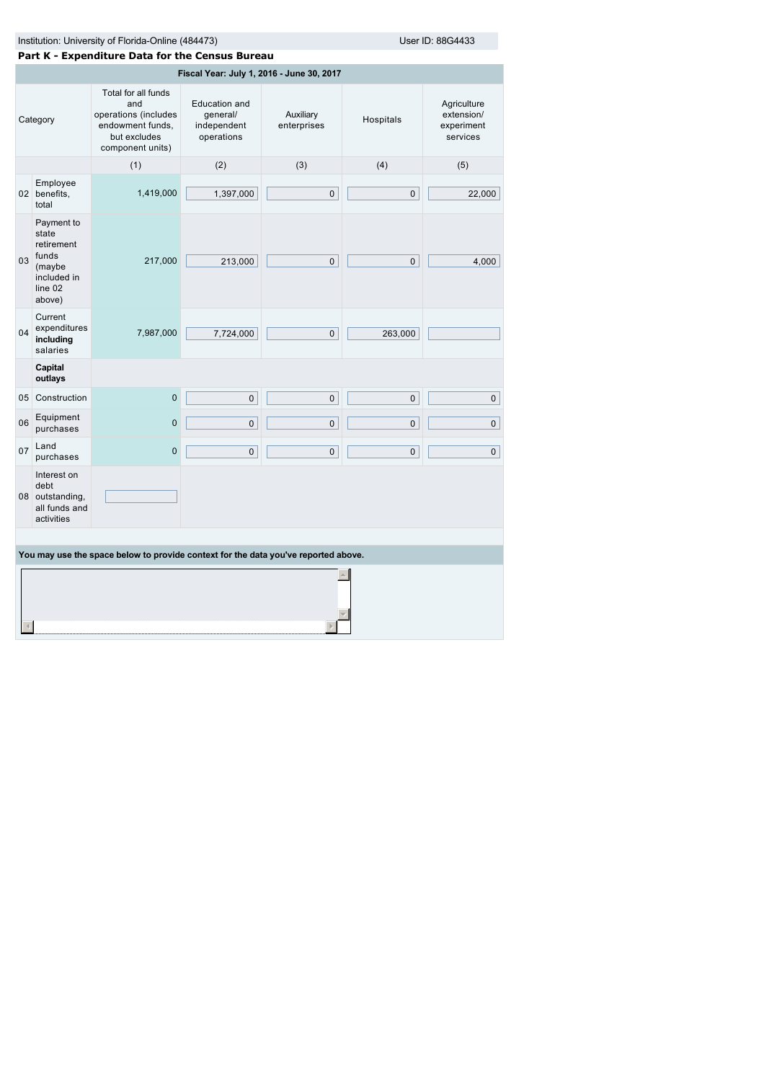|          | Institution: University of Florida-Online (484473)<br>User ID: 88G4433                   |                                                                                                            |                                                        |                          |              |                                                     |  |
|----------|------------------------------------------------------------------------------------------|------------------------------------------------------------------------------------------------------------|--------------------------------------------------------|--------------------------|--------------|-----------------------------------------------------|--|
|          |                                                                                          | Part K - Expenditure Data for the Census Bureau                                                            |                                                        |                          |              |                                                     |  |
|          |                                                                                          |                                                                                                            | Fiscal Year: July 1, 2016 - June 30, 2017              |                          |              |                                                     |  |
| Category |                                                                                          | Total for all funds<br>and<br>operations (includes<br>endowment funds,<br>but excludes<br>component units) | Education and<br>general/<br>independent<br>operations | Auxiliary<br>enterprises | Hospitals    | Agriculture<br>extension/<br>experiment<br>services |  |
|          |                                                                                          | (1)                                                                                                        | (2)                                                    | (3)                      | (4)          | (5)                                                 |  |
|          | Employee<br>02 benefits,<br>total                                                        | 1,419,000                                                                                                  | 1,397,000                                              | $\mathsf{O}$             | $\mathbf 0$  | 22,000                                              |  |
| 03       | Payment to<br>state<br>retirement<br>funds<br>(maybe<br>included in<br>line 02<br>above) | 217,000                                                                                                    | 213,000                                                | $\mathbf{0}$             | $\mathbf{0}$ | 4,000                                               |  |
| 04       | Current<br>expenditures<br>including<br>salaries                                         | 7,987,000                                                                                                  | 7,724,000                                              | $\mathbf 0$              | 263,000      |                                                     |  |
|          | Capital<br>outlays                                                                       |                                                                                                            |                                                        |                          |              |                                                     |  |
|          | 05 Construction                                                                          | $\mathbf 0$                                                                                                | $\pmb{0}$                                              | $\mathbf 0$              | $\mathbf{0}$ | $\overline{0}$                                      |  |
| 06       | Equipment<br>purchases                                                                   | $\overline{0}$                                                                                             | $\mathbf 0$                                            | $\mathbf 0$              | $\mathbf 0$  | $\mathbf 0$                                         |  |
| 07       | Land<br>purchases                                                                        | $\overline{0}$                                                                                             | $\pmb{0}$                                              | $\mathsf{O}$             | $\mathbf 0$  | $\overline{0}$                                      |  |
|          | Interest on<br>debt<br>08 outstanding,<br>all funds and<br>activities                    |                                                                                                            |                                                        |                          |              |                                                     |  |
|          |                                                                                          |                                                                                                            |                                                        |                          |              |                                                     |  |
|          | You may use the space below to provide context for the data you've reported above.       |                                                                                                            |                                                        |                          |              |                                                     |  |
|          |                                                                                          |                                                                                                            |                                                        |                          |              |                                                     |  |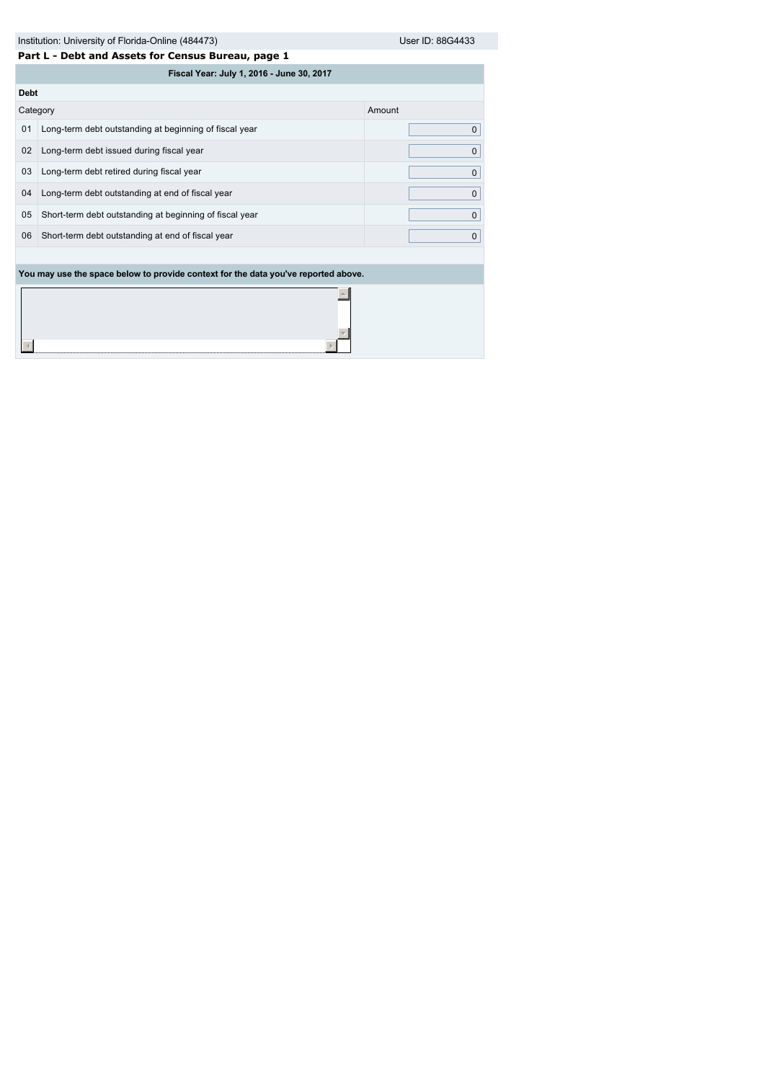|                                                         | Part L - Debt and Assets for Census Bureau, page 1                                                            |  |  |  |  |  |  |
|---------------------------------------------------------|---------------------------------------------------------------------------------------------------------------|--|--|--|--|--|--|
| Fiscal Year: July 1, 2016 - June 30, 2017               |                                                                                                               |  |  |  |  |  |  |
|                                                         |                                                                                                               |  |  |  |  |  |  |
|                                                         | Amount                                                                                                        |  |  |  |  |  |  |
| Long-term debt outstanding at beginning of fiscal year  | $\mathbf{0}$                                                                                                  |  |  |  |  |  |  |
| Long-term debt issued during fiscal year                | $\mathbf{0}$                                                                                                  |  |  |  |  |  |  |
| Long-term debt retired during fiscal year               | $\mathbf 0$                                                                                                   |  |  |  |  |  |  |
| Long-term debt outstanding at end of fiscal year        | $\mathbf{0}$                                                                                                  |  |  |  |  |  |  |
| Short-term debt outstanding at beginning of fiscal year | $\Omega$                                                                                                      |  |  |  |  |  |  |
| Short-term debt outstanding at end of fiscal year       | $\Omega$                                                                                                      |  |  |  |  |  |  |
|                                                         |                                                                                                               |  |  |  |  |  |  |
|                                                         |                                                                                                               |  |  |  |  |  |  |
|                                                         |                                                                                                               |  |  |  |  |  |  |
|                                                         | <b>Debt</b><br>Category<br>You may use the space below to provide context for the data you've reported above. |  |  |  |  |  |  |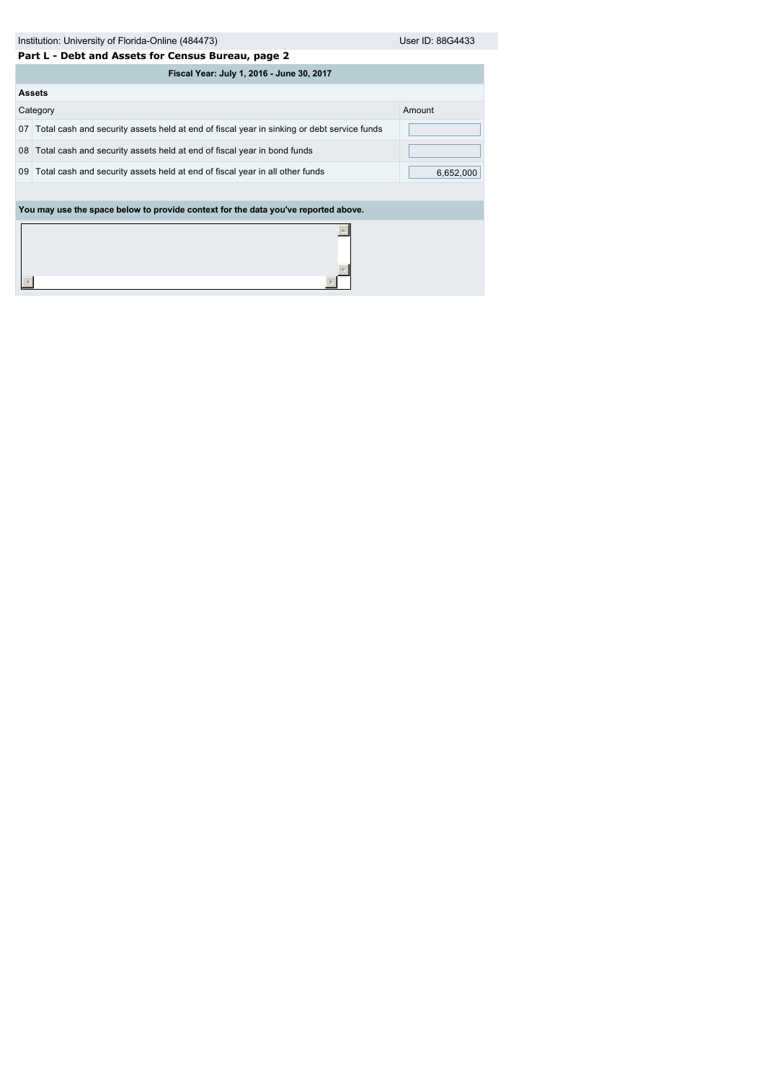| Institution: University of Florida-Online (484473) | User ID: 88G4433 |
|----------------------------------------------------|------------------|
|                                                    |                  |

|    | Part L - Debt and Assets for Census Bureau, page 2                                         |           |  |  |  |  |
|----|--------------------------------------------------------------------------------------------|-----------|--|--|--|--|
|    | Fiscal Year: July 1, 2016 - June 30, 2017                                                  |           |  |  |  |  |
|    | <b>Assets</b>                                                                              |           |  |  |  |  |
|    | Category                                                                                   | Amount    |  |  |  |  |
| 07 | Total cash and security assets held at end of fiscal year in sinking or debt service funds |           |  |  |  |  |
| 08 | Total cash and security assets held at end of fiscal year in bond funds                    |           |  |  |  |  |
| 09 | Total cash and security assets held at end of fiscal year in all other funds               | 6,652,000 |  |  |  |  |
|    |                                                                                            |           |  |  |  |  |
|    | You may use the space below to provide context for the data you've reported above.         |           |  |  |  |  |
|    |                                                                                            |           |  |  |  |  |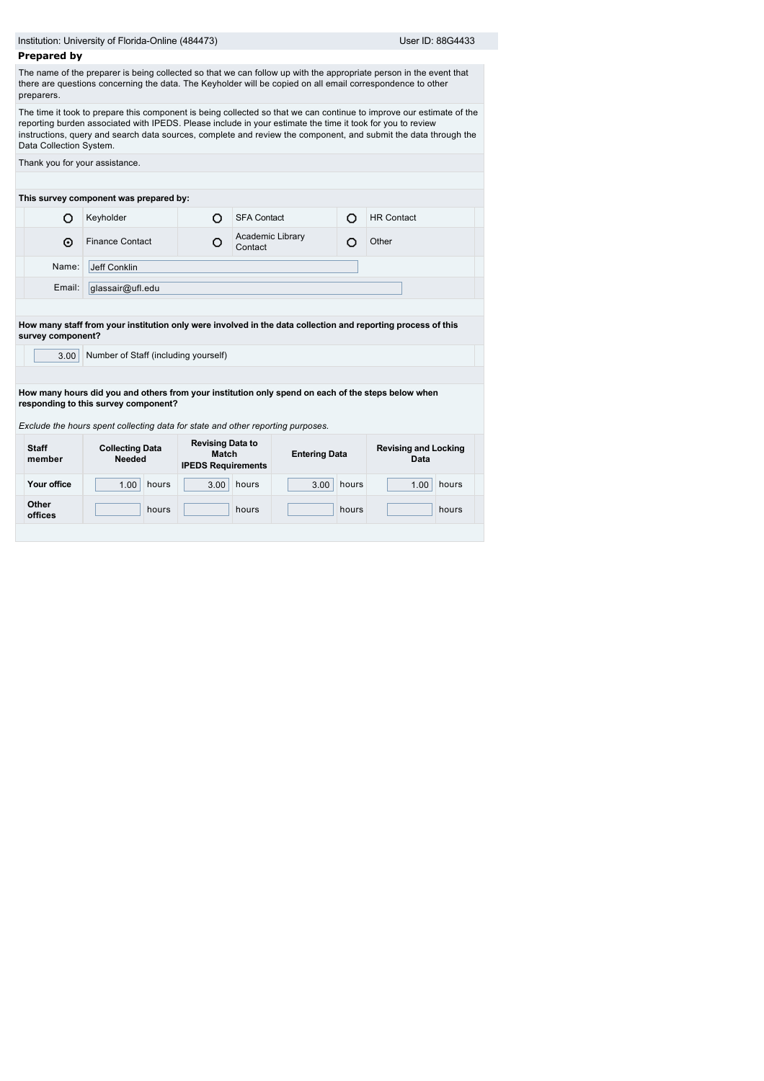|                         | Institution: University of Florida-Online (484473)                                                                      |                                                                      |                             |                      |       | User ID: 88G4433                                                                                                                                                                                                                        |  |
|-------------------------|-------------------------------------------------------------------------------------------------------------------------|----------------------------------------------------------------------|-----------------------------|----------------------|-------|-----------------------------------------------------------------------------------------------------------------------------------------------------------------------------------------------------------------------------------------|--|
| <b>Prepared by</b>      |                                                                                                                         |                                                                      |                             |                      |       |                                                                                                                                                                                                                                         |  |
| preparers.              | there are questions concerning the data. The Keyholder will be copied on all email correspondence to other              |                                                                      |                             |                      |       | The name of the preparer is being collected so that we can follow up with the appropriate person in the event that                                                                                                                      |  |
| Data Collection System. | reporting burden associated with IPEDS. Please include in your estimate the time it took for you to review              |                                                                      |                             |                      |       | The time it took to prepare this component is being collected so that we can continue to improve our estimate of the<br>instructions, query and search data sources, complete and review the component, and submit the data through the |  |
|                         | Thank you for your assistance.                                                                                          |                                                                      |                             |                      |       |                                                                                                                                                                                                                                         |  |
|                         | This survey component was prepared by:                                                                                  |                                                                      |                             |                      |       |                                                                                                                                                                                                                                         |  |
| Ω                       | Keyholder                                                                                                               | O                                                                    | <b>SFA Contact</b>          |                      | O     | <b>HR Contact</b>                                                                                                                                                                                                                       |  |
| ⊙                       | <b>Finance Contact</b>                                                                                                  | О                                                                    | Academic Library<br>Contact |                      | O     | Other                                                                                                                                                                                                                                   |  |
| Name:                   | Jeff Conklin                                                                                                            |                                                                      |                             |                      |       |                                                                                                                                                                                                                                         |  |
| Email:                  | glassair@ufl.edu                                                                                                        |                                                                      |                             |                      |       |                                                                                                                                                                                                                                         |  |
|                         | How many staff from your institution only were involved in the data collection and reporting process of this            |                                                                      |                             |                      |       |                                                                                                                                                                                                                                         |  |
| survey component?       |                                                                                                                         |                                                                      |                             |                      |       |                                                                                                                                                                                                                                         |  |
| 3.00 <sub>1</sub>       | Number of Staff (including yourself)                                                                                    |                                                                      |                             |                      |       |                                                                                                                                                                                                                                         |  |
|                         |                                                                                                                         |                                                                      |                             |                      |       |                                                                                                                                                                                                                                         |  |
|                         |                                                                                                                         |                                                                      |                             |                      |       | How many hours did you and others from your institution only spend on each of the steps below when                                                                                                                                      |  |
|                         | responding to this survey component?<br>Exclude the hours spent collecting data for state and other reporting purposes. |                                                                      |                             |                      |       |                                                                                                                                                                                                                                         |  |
| <b>Staff</b><br>member  | <b>Collecting Data</b><br><b>Needed</b>                                                                                 | <b>Revising Data to</b><br><b>Match</b><br><b>IPEDS Requirements</b> |                             | <b>Entering Data</b> |       | <b>Revising and Locking</b><br>Data                                                                                                                                                                                                     |  |
| Your office             | hours<br>1.00                                                                                                           | 3.00                                                                 | hours                       | 3.00                 | hours | hours<br>1.00                                                                                                                                                                                                                           |  |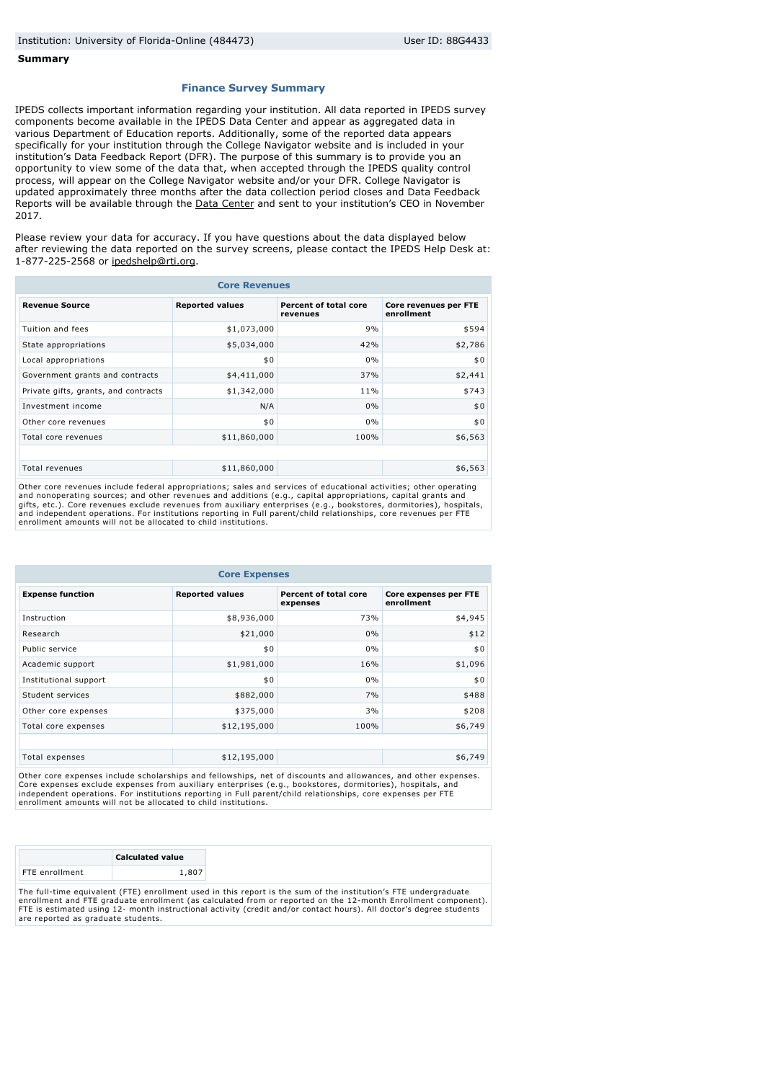#### **Summary**

#### **Finance Survey Summary**

IPEDS collects important information regarding your institution. All data reported in IPEDS survey components become available in the IPEDS Data Center and appear as aggregated data in various Department of Education reports. Additionally, some of the reported data appears specifically for your institution through the College Navigator website and is included in your institution's Data Feedback Report (DFR). The purpose of this summary is to provide you an opportunity to view some of the data that, when accepted through the IPEDS quality control process, will appear on the College Navigator website and/or your DFR. College Navigator is updated approximately three months after the data collection period closes and Data Feedback Reports will be available through the **Data Center** and sent to your institution's CEO in November 2017.

Please review your data for accuracy. If you have questions about the data displayed below after reviewing the data reported on the survey screens, please contact the IPEDS Help Desk at: 1-877-225-2568 or [ipedshelp@rti.org](mailto:ipedshelp@rti.org).

| <b>Core Revenues</b>                 |                        |                                   |                                     |  |  |
|--------------------------------------|------------------------|-----------------------------------|-------------------------------------|--|--|
| <b>Revenue Source</b>                | <b>Reported values</b> | Percent of total core<br>revenues | Core revenues per FTE<br>enrollment |  |  |
| Tuition and fees                     | \$1,073,000            | 9%                                | \$594                               |  |  |
| State appropriations                 | \$5,034,000            | 42%                               | \$2,786                             |  |  |
| Local appropriations                 | \$0                    | $0\%$                             | \$0                                 |  |  |
| Government grants and contracts      | \$4,411,000            | 37%                               | \$2,441                             |  |  |
| Private gifts, grants, and contracts | \$1,342,000            | 11%                               | \$743                               |  |  |
| Investment income                    | N/A                    | 0%                                | \$0                                 |  |  |
| Other core revenues                  | \$0                    | 0%                                | \$0                                 |  |  |
| Total core revenues                  | \$11,860,000           | 100%                              | \$6,563                             |  |  |
|                                      |                        |                                   |                                     |  |  |
| Total revenues                       | \$11,860,000           |                                   | \$6,563                             |  |  |

Other core revenues include federal appropriations; sales and services of educational activities; other operating and nonoperating sources; and other revenues and additions (e.g., capital appropriations, capital grants and<br>gifts, etc.). Core revenues exclude revenues from auxiliary enterprises (e.g., bookstores, dormitories), hospital enrollment amounts will not be allocated to child institutions.

| <b>Core Expenses</b>    |                        |                                   |                                     |  |  |
|-------------------------|------------------------|-----------------------------------|-------------------------------------|--|--|
| <b>Expense function</b> | <b>Reported values</b> | Percent of total core<br>expenses | Core expenses per FTE<br>enrollment |  |  |
| Instruction             | \$8,936,000            | 73%                               | \$4,945                             |  |  |
| Research                | \$21,000               | 0%                                | \$12                                |  |  |
| Public service          | \$0                    | 0%                                | \$0                                 |  |  |
| Academic support        | \$1,981,000            | 16%                               | \$1,096                             |  |  |
| Institutional support   | \$0                    | 0%                                | \$0                                 |  |  |
| Student services        | \$882,000              | 7%                                | \$488                               |  |  |
| Other core expenses     | \$375,000              | 3%                                | \$208                               |  |  |
| Total core expenses     | \$12,195,000           | 100%                              | \$6,749                             |  |  |
|                         |                        |                                   |                                     |  |  |
| Total expenses          | \$12,195,000           |                                   | \$6,749                             |  |  |

Other core expenses include scholarships and fellowships, net of discounts and allowances, and other expenses. Core expenses exclude expenses from auxiliary enterprises (e.g., bookstores, dormitories), hospitals, and independent operations. For institutions reporting in Full parent/child relationships, core expenses per FTE enrollment amounts will not be allocated to child institutions.

|                                                                                                                                                                                                                                  | <b>Calculated value</b> |  |  |  |  |  |
|----------------------------------------------------------------------------------------------------------------------------------------------------------------------------------------------------------------------------------|-------------------------|--|--|--|--|--|
| FTE enrollment                                                                                                                                                                                                                   | 1,807                   |  |  |  |  |  |
| The full-time equivalent (FTE) enrollment used in this report is the sum of the institution's FTE undergraduate<br>enrollment and FTE graduate enrollment (as calculated from or reported on the 12-month Enrollment component). |                         |  |  |  |  |  |
| FTE is estimated using 12- month instructional activity (credit and/or contact hours). All doctor's degree students                                                                                                              |                         |  |  |  |  |  |

are reported as graduate students.